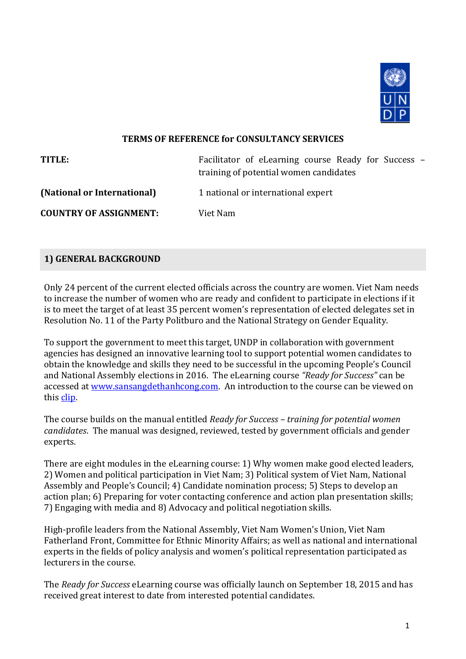

#### **TERMS OF REFERENCE for CONSULTANCY SERVICES**

| TITLE:                        | Facilitator of eLearning course Ready for Success –<br>training of potential women candidates |
|-------------------------------|-----------------------------------------------------------------------------------------------|
| (National or International)   | 1 national or international expert                                                            |
| <b>COUNTRY OF ASSIGNMENT:</b> | Viet Nam                                                                                      |

#### **1) GENERAL BACKGROUND**

Only 24 percent of the current elected officials across the country are women. Viet Nam needs to increase the number of women who are ready and confident to participate in elections if it is to meet the target of at least 35 percent women's representation of elected delegates set in Resolution No. 11 of the Party Politburo and the National Strategy on Gender Equality.

To support the government to meet this target, UNDP in collaboration with government agencies has designed an innovative learning tool to support potential women candidates to obtain the knowledge and skills they need to be successful in the upcoming People's Council and National Assembly elections in 2016. The eLearning course *"Ready for Success"* can be accessed at [www.sansangdethanhcong.com.](http://www.sansangdethanhcong.com/) An introduction to the course can be viewed on this [clip.](https://youtu.be/gYpNBmqsPaw)

The course builds on the manual entitled *Ready for Success – training for potential women candidates*. The manual was designed, reviewed, tested by government officials and gender experts.

There are eight modules in the eLearning course: 1) Why women make good elected leaders, 2) Women and political participation in Viet Nam; 3) Political system of Viet Nam, National Assembly and People's Council; 4) Candidate nomination process; 5) Steps to develop an action plan; 6) Preparing for voter contacting conference and action plan presentation skills; 7) Engaging with media and 8) Advocacy and political negotiation skills.

High-profile leaders from the National Assembly, Viet Nam Women's Union, Viet Nam Fatherland Front, Committee for Ethnic Minority Affairs; as well as national and international experts in the fields of policy analysis and women's political representation participated as lecturers in the course.

The *Ready for Success* eLearning course was officially launch on September 18, 2015 and has received great interest to date from interested potential candidates.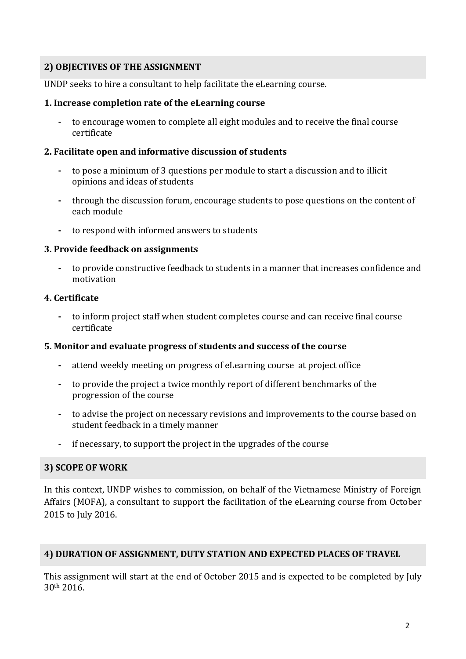# **2) OBJECTIVES OF THE ASSIGNMENT**

UNDP seeks to hire a consultant to help facilitate the eLearning course.

#### **1. Increase completion rate of the eLearning course**

**-** to encourage women to complete all eight modules and to receive the final course certificate

#### **2. Facilitate open and informative discussion of students**

- **-** to pose a minimum of 3 questions per module to start a discussion and to illicit opinions and ideas of students
- **-** through the discussion forum, encourage students to pose questions on the content of each module
- **-** to respond with informed answers to students

#### **3. Provide feedback on assignments**

**-** to provide constructive feedback to students in a manner that increases confidence and motivation

# **4. Certificate**

**-** to inform project staff when student completes course and can receive final course certificate

# **5. Monitor and evaluate progress of students and success of the course**

- **-** attend weekly meeting on progress of eLearning course at project office
- **-** to provide the project a twice monthly report of different benchmarks of the progression of the course
- **-** to advise the project on necessary revisions and improvements to the course based on student feedback in a timely manner
- **-** if necessary, to support the project in the upgrades of the course

# **3) SCOPE OF WORK**

In this context, UNDP wishes to commission, on behalf of the Vietnamese Ministry of Foreign Affairs (MOFA), a consultant to support the facilitation of the eLearning course from October 2015 to July 2016.

# **4) DURATION OF ASSIGNMENT, DUTY STATION AND EXPECTED PLACES OF TRAVEL**

This assignment will start at the end of October 2015 and is expected to be completed by July 30th 2016.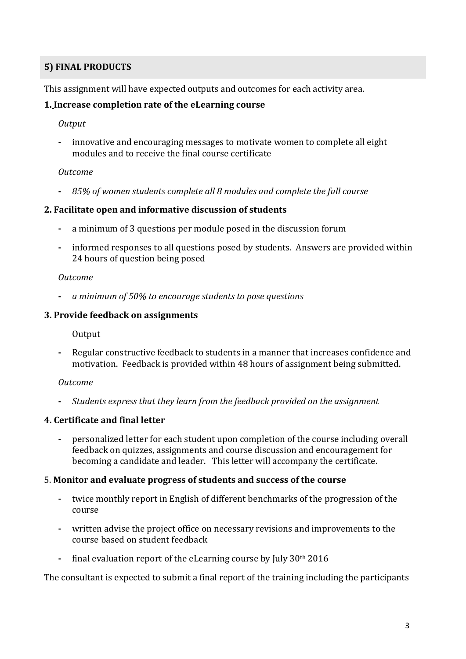# **5) FINAL PRODUCTS**

This assignment will have expected outputs and outcomes for each activity area.

# **1. Increase completion rate of the eLearning course**

#### *Output*

**-** innovative and encouraging messages to motivate women to complete all eight modules and to receive the final course certificate

# *Outcome*

**-** *85% of women students complete all 8 modules and complete the full course*

#### **2. Facilitate open and informative discussion of students**

- **-** a minimum of 3 questions per module posed in the discussion forum
- **-** informed responses to all questions posed by students. Answers are provided within 24 hours of question being posed

#### *Outcome*

**-** *a minimum of 50% to encourage students to pose questions*

# **3. Provide feedback on assignments**

**Output** 

**-** Regular constructive feedback to students in a manner that increases confidence and motivation. Feedback is provided within 48 hours of assignment being submitted.

# *Outcome*

**-** *Students express that they learn from the feedback provided on the assignment*

# **4. Certificate and final letter**

**-** personalized letter for each student upon completion of the course including overall feedback on quizzes, assignments and course discussion and encouragement for becoming a candidate and leader. This letter will accompany the certificate.

# 5. **Monitor and evaluate progress of students and success of the course**

- **-** twice monthly report in English of different benchmarks of the progression of the course
- **-** written advise the project office on necessary revisions and improvements to the course based on student feedback
- **-** final evaluation report of the eLearning course by July 30th 2016

The consultant is expected to submit a final report of the training including the participants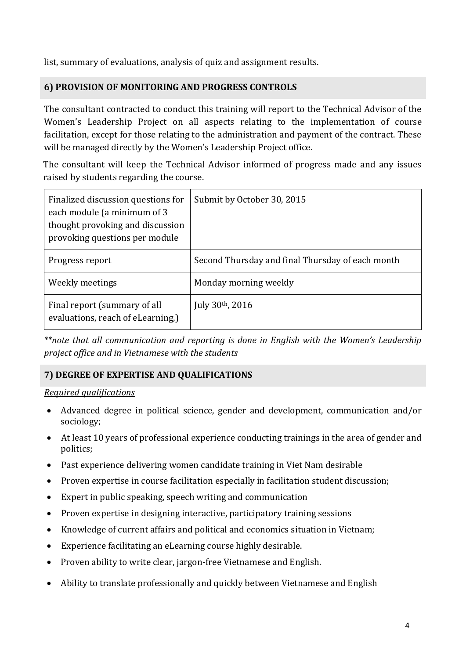list, summary of evaluations, analysis of quiz and assignment results.

# **6) PROVISION OF MONITORING AND PROGRESS CONTROLS**

The consultant contracted to conduct this training will report to the Technical Advisor of the Women's Leadership Project on all aspects relating to the implementation of course facilitation, except for those relating to the administration and payment of the contract. These will be managed directly by the Women's Leadership Project office.

The consultant will keep the Technical Advisor informed of progress made and any issues raised by students regarding the course.

| Finalized discussion questions for<br>each module (a minimum of 3<br>thought provoking and discussion<br>provoking questions per module | Submit by October 30, 2015                       |
|-----------------------------------------------------------------------------------------------------------------------------------------|--------------------------------------------------|
| Progress report                                                                                                                         | Second Thursday and final Thursday of each month |
| Weekly meetings                                                                                                                         | Monday morning weekly                            |
| Final report (summary of all<br>evaluations, reach of eLearning,)                                                                       | July $30th$ , 2016                               |

*\*\*note that all communication and reporting is done in English with the Women's Leadership project office and in Vietnamese with the students*

# **7) DEGREE OF EXPERTISE AND QUALIFICATIONS**

# *Required qualifications*

- Advanced degree in political science, gender and development, communication and/or sociology;
- At least 10 years of professional experience conducting trainings in the area of gender and politics;
- Past experience delivering women candidate training in Viet Nam desirable
- Proven expertise in course facilitation especially in facilitation student discussion;
- Expert in public speaking, speech writing and communication
- Proven expertise in designing interactive, participatory training sessions
- Knowledge of current affairs and political and economics situation in Vietnam;
- Experience facilitating an eLearning course highly desirable.
- Proven ability to write clear, jargon-free Vietnamese and English.
- Ability to translate professionally and quickly between Vietnamese and English